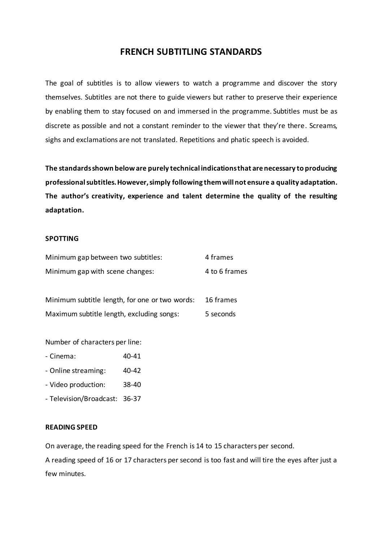# **FRENCH SUBTITLING STANDARDS**

The goal of subtitles is to allow viewers to watch a programme and discover the story themselves. Subtitles are not there to guide viewers but rather to preserve their experience by enabling them to stay focused on and immersed in the programme. Subtitles must be as discrete as possible and not a constant reminder to the viewer that they're there. Screams, sighs and exclamations are not translated. Repetitions and phatic speech is avoided.

**The standards shown below are purely technical indications that are necessary to producing professionalsubtitles. However, simply following them will not ensure a quality adaptation. The author's creativity, experience and talent determine the quality of the resulting adaptation.**

### **SPOTTING**

| Minimum gap between two subtitles: | 4 frames      |
|------------------------------------|---------------|
| Minimum gap with scene changes:    | 4 to 6 frames |
|                                    |               |

Minimum subtitle length, for one or two words: 16 frames Maximum subtitle length, excluding songs: 5 seconds

Number of characters per line:

- Cinema: 40-41
- Online streaming: 40-42
- Video production: 38-40
- Television/Broadcast: 36-37

### **READING SPEED**

On average, the reading speed for the French is 14 to 15 characters per second.

A reading speed of 16 or 17 characters per second is too fast and will tire the eyes after just a few minutes.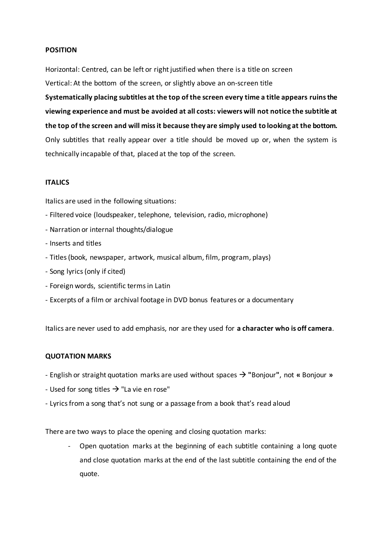# **POSITION**

Horizontal: Centred, can be left or right justified when there is a title on screen Vertical: At the bottom of the screen, or slightly above an on-screen title

**Systematically placing subtitles at the top of the screen every time a title appears ruins the viewing experience and must be avoided at all costs: viewers will not notice the subtitle at the top of the screen and will miss it because they are simply used to looking at the bottom.** Only subtitles that really appear over a title should be moved up or, when the system is technically incapable of that, placed at the top of the screen.

# **ITALICS**

Italics are used in the following situations:

- Filtered voice (loudspeaker, telephone, television, radio, microphone)
- Narration or internal thoughts/dialogue
- Inserts and titles
- Titles(book, newspaper, artwork, musical album, film, program, plays)
- Song lyrics(only if cited)
- Foreign words, scientific terms in Latin
- Excerpts of a film or archival footage in DVD bonus features or a documentary

Italics are never used to add emphasis, nor are they used for **a character who is off camera**.

### **QUOTATION MARKS**

- English or straight quotation marks are used without spaces → **"**Bonjour**"**, not **«** Bonjour **»**
- Used for song titles  $\rightarrow$  "La vie en rose"
- Lyrics from a song that's not sung or a passage from a book that's read aloud

There are two ways to place the opening and closing quotation marks:

- Open quotation marks at the beginning of each subtitle containing a long quote and close quotation marks at the end of the last subtitle containing the end of the quote.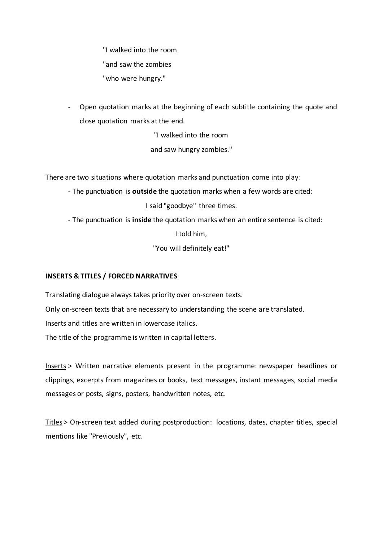"I walked into the room "and saw the zombies "who were hungry."

- Open quotation marks at the beginning of each subtitle containing the quote and close quotation marks at the end.

"I walked into the room

and saw hungry zombies."

There are two situations where quotation marks and punctuation come into play:

- The punctuation is **outside** the quotation marks when a few words are cited:

I said "goodbye" three times.

- The punctuation is **inside** the quotation marks when an entire sentence is cited:

I told him,

"You will definitely eat!"

# **INSERTS & TITLES / FORCED NARRATIVES**

Translating dialogue always takes priority over on-screen texts. Only on-screen texts that are necessary to understanding the scene are translated. Inserts and titles are written in lowercase italics. The title of the programme is written in capital letters.

Inserts > Written narrative elements present in the programme: newspaper headlines or clippings, excerpts from magazines or books, text messages, instant messages, social media messages or posts, signs, posters, handwritten notes, etc.

Titles > On-screen text added during postproduction: locations, dates, chapter titles, special mentions like "Previously", etc.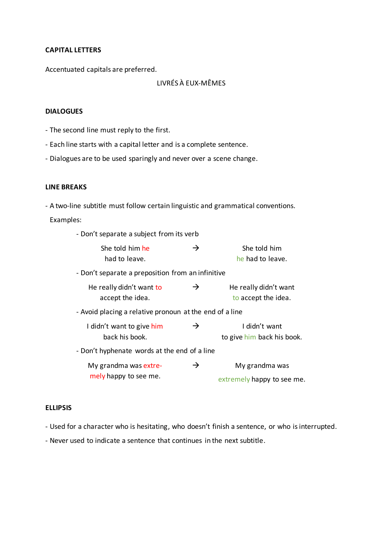### **CAPITAL LETTERS**

Accentuated capitals are preferred.

# LIVRÉS À EUX-MÊMES

# **DIALOGUES**

- The second line must reply to the first.
- Each line starts with a capital letter and is a complete sentence.
- Dialogues are to be used sparingly and never over a scene change.

# **LINE BREAKS**

- A two-line subtitle must follow certain linguistic and grammatical conventions.

Examples:

| - Don't separate a subject from its verb                |               |                                              |  |
|---------------------------------------------------------|---------------|----------------------------------------------|--|
| She told him he<br>had to leave.                        | $\rightarrow$ | She told him<br>he had to leave.             |  |
| - Don't separate a preposition from an infinitive       |               |                                              |  |
| He really didn't want to<br>accept the idea.            | →             | He really didn't want<br>to accept the idea. |  |
| - Avoid placing a relative pronoun at the end of a line |               |                                              |  |
| I didn't want to give him<br>back his book.             | →             | I didn't want<br>to give him back his book.  |  |
| - Don't hyphenate words at the end of a line            |               |                                              |  |
| My grandma was extre-<br>mely happy to see me.          | →             | My grandma was<br>extremely happy to see me. |  |

### **ELLIPSIS**

- Used for a character who is hesitating, who doesn't finish a sentence, or who is interrupted.

- Never used to indicate a sentence that continues in the next subtitle.